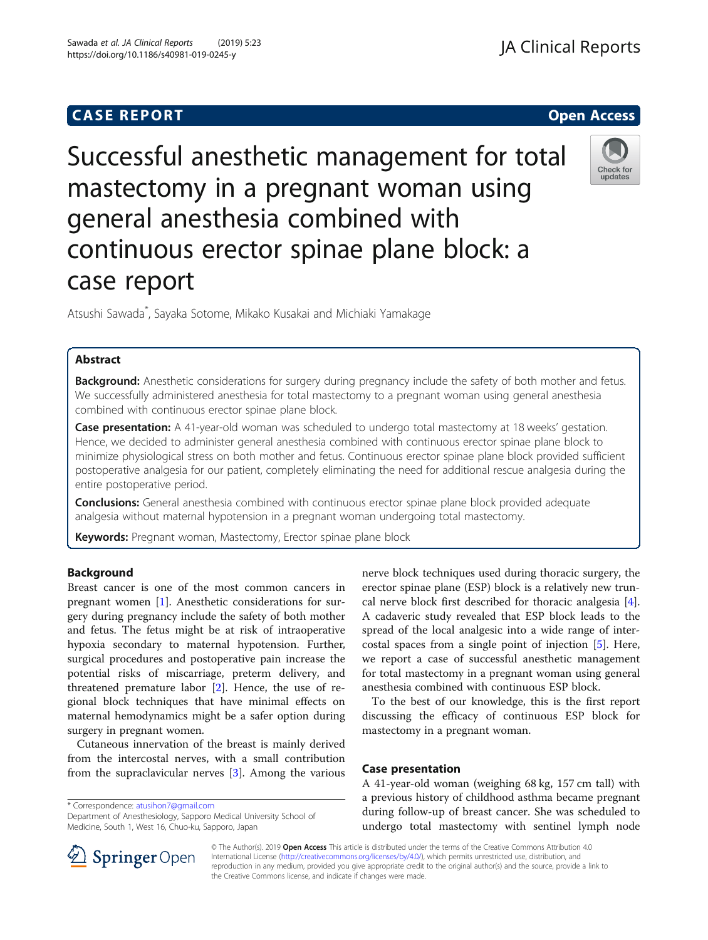## **CASE REPORT CASE REPORT**

# Successful anesthetic management for total mastectomy in a pregnant woman using general anesthesia combined with continuous erector spinae plane block: a case report

Atsushi Sawada\* , Sayaka Sotome, Mikako Kusakai and Michiaki Yamakage

## Abstract

Background: Anesthetic considerations for surgery during pregnancy include the safety of both mother and fetus. We successfully administered anesthesia for total mastectomy to a pregnant woman using general anesthesia combined with continuous erector spinae plane block.

Case presentation: A 41-year-old woman was scheduled to undergo total mastectomy at 18 weeks' gestation. Hence, we decided to administer general anesthesia combined with continuous erector spinae plane block to minimize physiological stress on both mother and fetus. Continuous erector spinae plane block provided sufficient postoperative analgesia for our patient, completely eliminating the need for additional rescue analgesia during the entire postoperative period.

**Conclusions:** General anesthesia combined with continuous erector spinae plane block provided adequate analgesia without maternal hypotension in a pregnant woman undergoing total mastectomy.

Keywords: Pregnant woman, Mastectomy, Erector spinae plane block

## **Background**

Breast cancer is one of the most common cancers in pregnant women [\[1](#page-2-0)]. Anesthetic considerations for surgery during pregnancy include the safety of both mother and fetus. The fetus might be at risk of intraoperative hypoxia secondary to maternal hypotension. Further, surgical procedures and postoperative pain increase the potential risks of miscarriage, preterm delivery, and threatened premature labor [\[2](#page-2-0)]. Hence, the use of regional block techniques that have minimal effects on maternal hemodynamics might be a safer option during surgery in pregnant women.

Cutaneous innervation of the breast is mainly derived from the intercostal nerves, with a small contribution from the supraclavicular nerves [[3\]](#page-2-0). Among the various

\* Correspondence: [atusihon7@gmail.com](mailto:atusihon7@gmail.com)

SpringerOpen

Department of Anesthesiology, Sapporo Medical University School of Medicine, South 1, West 16, Chuo-ku, Sapporo, Japan

nerve block techniques used during thoracic surgery, the erector spinae plane (ESP) block is a relatively new truncal nerve block first described for thoracic analgesia [\[4](#page-2-0)]. A cadaveric study revealed that ESP block leads to the spread of the local analgesic into a wide range of intercostal spaces from a single point of injection [\[5](#page-2-0)]. Here, we report a case of successful anesthetic management for total mastectomy in a pregnant woman using general anesthesia combined with continuous ESP block.

To the best of our knowledge, this is the first report discussing the efficacy of continuous ESP block for mastectomy in a pregnant woman.

#### Case presentation

A 41-year-old woman (weighing 68 kg, 157 cm tall) with a previous history of childhood asthma became pregnant during follow-up of breast cancer. She was scheduled to undergo total mastectomy with sentinel lymph node

© The Author(s). 2019 Open Access This article is distributed under the terms of the Creative Commons Attribution 4.0 International License ([http://creativecommons.org/licenses/by/4.0/\)](http://creativecommons.org/licenses/by/4.0/), which permits unrestricted use, distribution, and reproduction in any medium, provided you give appropriate credit to the original author(s) and the source, provide a link to the Creative Commons license, and indicate if changes were made.





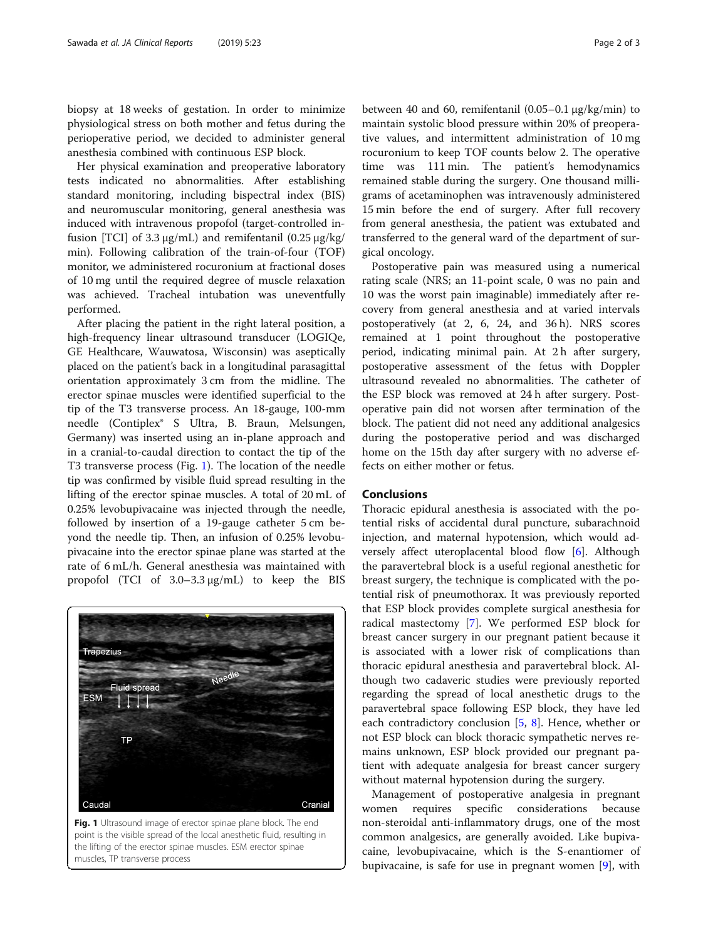biopsy at 18 weeks of gestation. In order to minimize physiological stress on both mother and fetus during the perioperative period, we decided to administer general anesthesia combined with continuous ESP block.

Her physical examination and preoperative laboratory tests indicated no abnormalities. After establishing standard monitoring, including bispectral index (BIS) and neuromuscular monitoring, general anesthesia was induced with intravenous propofol (target-controlled infusion [TCI] of 3.3 μg/mL) and remifentanil (0.25 μg/kg/ min). Following calibration of the train-of-four (TOF) monitor, we administered rocuronium at fractional doses of 10 mg until the required degree of muscle relaxation was achieved. Tracheal intubation was uneventfully performed.

After placing the patient in the right lateral position, a high-frequency linear ultrasound transducer (LOGIQe, GE Healthcare, Wauwatosa, Wisconsin) was aseptically placed on the patient's back in a longitudinal parasagittal orientation approximately 3 cm from the midline. The erector spinae muscles were identified superficial to the tip of the T3 transverse process. An 18-gauge, 100-mm needle (Contiplex® S Ultra, B. Braun, Melsungen, Germany) was inserted using an in-plane approach and in a cranial-to-caudal direction to contact the tip of the T3 transverse process (Fig. 1). The location of the needle tip was confirmed by visible fluid spread resulting in the lifting of the erector spinae muscles. A total of 20 mL of 0.25% levobupivacaine was injected through the needle, followed by insertion of a 19-gauge catheter 5 cm beyond the needle tip. Then, an infusion of 0.25% levobupivacaine into the erector spinae plane was started at the rate of 6 mL/h. General anesthesia was maintained with propofol (TCI of 3.0–3.3 μg/mL) to keep the BIS



Fig. 1 Ultrasound image of erector spinae plane block. The end point is the visible spread of the local anesthetic fluid, resulting in the lifting of the erector spinae muscles. ESM erector spinae muscles, TP transverse process

between 40 and 60, remifentanil (0.05–0.1 μg/kg/min) to maintain systolic blood pressure within 20% of preoperative values, and intermittent administration of 10 mg rocuronium to keep TOF counts below 2. The operative time was 111 min. The patient's hemodynamics remained stable during the surgery. One thousand milligrams of acetaminophen was intravenously administered 15 min before the end of surgery. After full recovery from general anesthesia, the patient was extubated and transferred to the general ward of the department of surgical oncology.

Postoperative pain was measured using a numerical rating scale (NRS; an 11-point scale, 0 was no pain and 10 was the worst pain imaginable) immediately after recovery from general anesthesia and at varied intervals postoperatively (at 2, 6, 24, and 36 h). NRS scores remained at 1 point throughout the postoperative period, indicating minimal pain. At 2 h after surgery, postoperative assessment of the fetus with Doppler ultrasound revealed no abnormalities. The catheter of the ESP block was removed at 24 h after surgery. Postoperative pain did not worsen after termination of the block. The patient did not need any additional analgesics during the postoperative period and was discharged home on the 15th day after surgery with no adverse effects on either mother or fetus.

### Conclusions

Thoracic epidural anesthesia is associated with the potential risks of accidental dural puncture, subarachnoid injection, and maternal hypotension, which would adversely affect uteroplacental blood flow [\[6](#page-2-0)]. Although the paravertebral block is a useful regional anesthetic for breast surgery, the technique is complicated with the potential risk of pneumothorax. It was previously reported that ESP block provides complete surgical anesthesia for radical mastectomy [\[7\]](#page-2-0). We performed ESP block for breast cancer surgery in our pregnant patient because it is associated with a lower risk of complications than thoracic epidural anesthesia and paravertebral block. Although two cadaveric studies were previously reported regarding the spread of local anesthetic drugs to the paravertebral space following ESP block, they have led each contradictory conclusion  $[5, 8]$  $[5, 8]$  $[5, 8]$ . Hence, whether or not ESP block can block thoracic sympathetic nerves remains unknown, ESP block provided our pregnant patient with adequate analgesia for breast cancer surgery without maternal hypotension during the surgery.

Management of postoperative analgesia in pregnant women requires specific considerations because non-steroidal anti-inflammatory drugs, one of the most common analgesics, are generally avoided. Like bupivacaine, levobupivacaine, which is the S-enantiomer of bupivacaine, is safe for use in pregnant women [\[9\]](#page-2-0), with